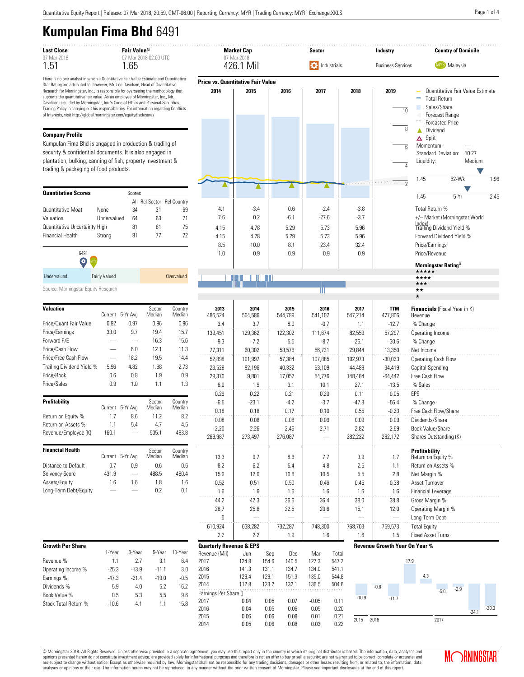# **Kumpulan Fima Bhd** 6491

| <b>Last Close</b> | Fair Value <sup>Q</sup>     | <b>Market Cap</b> |
|-------------------|-----------------------------|-------------------|
| 07 Mar 2018       | $07$ Mar 2018 $02$ 00 LITC. | 07 Mar 2018       |
| 1.51              | 1 65                        | 426 1 Mil         |

There is no one analyst in which a Quantitative Fair Value Estimate and Quantitative Star Rating are attributed to; however, Mr. Lee Davidson, Head of Quantitative Research for Morningstar, Inc., is responsible for overseeing the methodology that supports the quantitative fair value. As an employee of Morningstar, Inc., Mr. Davidson is guided by Morningstar, Inc.'s Code of Ethics and Personal Securities Trading Policy in carrying out his responsibilities. For information regarding Conflicts of Interests, visit http://global.morningstar.com/equitydisclosures

#### **Company Profile**

Kumpulan Fima Bhd is engaged in production & trading of security & confidential documents. It is also engaged in plantation, bulking, canning of fish, property investment & trading & packaging of food products.

| <b>Quantitative Scores</b>    |             | Scores |    |                            |
|-------------------------------|-------------|--------|----|----------------------------|
|                               |             |        |    | All Rel Sector Rel Country |
| <b>Quantitative Moat</b>      | <b>None</b> | 34     | 31 | 69                         |
| Valuation                     | Undervalued | 64     | 63 | 71                         |
| Quantitative Uncertainty High |             | 81     | 81 | 75                         |
| <b>Financial Health</b>       | Strong      | 81     | 77 | 72                         |
|                               |             |        |    |                            |

| .<br>$\mathbf{\Theta}$ |                      |            |
|------------------------|----------------------|------------|
| Undervalued            | <b>Fairly Valued</b> | Overvalued |

Source: Morningstar Equity Research

6491

| <b>Valuation</b>          | Current | 5-Yr Avg | Sector<br>Median | Country<br>Median |
|---------------------------|---------|----------|------------------|-------------------|
| Price/Quant Fair Value    | 0.92    | 0.97     | 0.96             | 0.96              |
| Price/Earnings            | 33.0    | 97       | 19.4             | 15.7              |
| Forward P/E               |         |          | 16.3             | 15.6              |
| Price/Cash Flow           |         | 6.0      | 12.1             | 11.3              |
| Price/Free Cash Flow      |         | 18.2     | 19.5             | 14.4              |
| Trailing Dividend Yield % | 5.96    | 4.82     | 1.98             | 2.73              |
| Price/Book                | 0.6     | 0.8      | 1.9              | 0.9               |
| Price/Sales               | 0.9     | 1.0      | 1.1              | 1.3               |
|                           |         |          |                  |                   |
| <b>Profitability</b>      | Current | 5-Yr Avg | Sector<br>Median | Country<br>Median |
| Return on Equity %        | 1.7     | 8.6      | 11.2             | 8.2               |
| Return on Assets %        | 1.1     | 5.4      | 4.7              | 4.5               |
| Revenue/Employee (K)      | 160.1   |          | 505.1            | 483.8             |
|                           |         |          |                  |                   |
| <b>Financial Health</b>   | Current | 5-Yr Avg | Sector<br>Median | Country<br>Median |
| Distance to Default       | 0.7     | 0.9      | 0.6              | 0.6               |
| <b>Solvency Score</b>     | 431.9   |          | 488.5            | 480.4             |
| Assets/Equity             | 1.6     | 1.6      | 1.8              | 1.6               |
| Long-Term Debt/Equity     |         |          | 0.2              | 0.1               |
|                           |         |          |                  |                   |

| <b>Growth Per Share</b> |         |         |         |         |
|-------------------------|---------|---------|---------|---------|
|                         | 1-Year  | 3-Year  | 5-Year  | 10-Year |
| Revenue %               | 11      | 27      | 3.1     | 6.4     |
| Operating Income %      | $-25.3$ | $-13.9$ | $-11.1$ | 3.0     |
| Earnings %              | $-47.3$ | $-21.4$ | $-19.0$ | $-0.5$  |
| Dividends %             | 5.9     | 4.0     | 5.2     | 16.2    |
| Book Value %            | 0.5     | 5.3     | 5.5     | 9.6     |
| Stock Total Return %    | $-10.6$ | -4 1    | 11      | 15.8    |



0.29 | 0.22 | 0.21 | 0.20 | 0.11 | 0.05 EPS -6.5 | -23.1 | -4.2 | -3.7 | -47.3 | -56.4 % Change 0.18 0.18 0.17 0.10 0.55 0.52 Free Cash Flow/Share 0.08 0.08 0.08 0.09 0.09 0.09 Dividends/Share 2.20 2.26 2.46 2.71 2.82 2.69 Book Value/Share 269,987 | 273,497 | 276,087 | — | 282,232 | 282,172 Shares Outstanding (K)



2015 2016 2017

**Profitability**

© Morningstar 2018. All Rights Reserved. Unless otherwise provided in a separate agreement, you may use this report only in the country in which its original distributor is based. The information, data, analyses and<br>opinio are subject to change without notice. Except as otherwise required by law, Morningstar shall not be responsible for any trading decisions, damages or other losses resulting from, or related to, the information, data,<br>analy

2015 0.06 0.06 0.08 0.01 0.21 2014 0.05 0.06 0.08 0.03 0.22



-24.1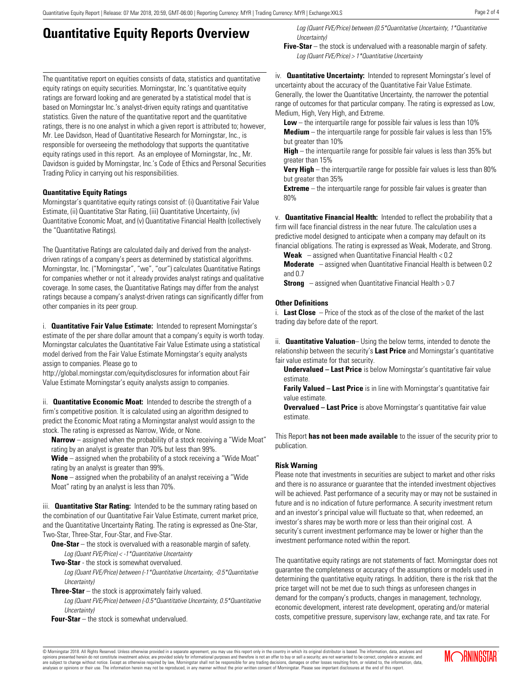# **Quantitative Equity Reports Overview**

The quantitative report on equities consists of data, statistics and quantitative equity ratings on equity securities. Morningstar, Inc.'s quantitative equity ratings are forward looking and are generated by a statistical model that is based on Morningstar Inc.'s analyst-driven equity ratings and quantitative statistics. Given the nature of the quantitative report and the quantitative ratings, there is no one analyst in which a given report is attributed to; however, Mr. Lee Davidson, Head of Quantitative Research for Morningstar, Inc., is responsible for overseeing the methodology that supports the quantitative equity ratings used in this report. As an employee of Morningstar, Inc., Mr. Davidson is guided by Morningstar, Inc.'s Code of Ethics and Personal Securities Trading Policy in carrying out his responsibilities.

### **Quantitative Equity Ratings**

Morningstar's quantitative equity ratings consist of: (i) Quantitative Fair Value Estimate, (ii) Quantitative Star Rating, (iii) Quantitative Uncertainty, (iv) Quantitative Economic Moat, and (v) Quantitative Financial Health (collectively the "Quantitative Ratings).

The Quantitative Ratings are calculated daily and derived from the analystdriven ratings of a company's peers as determined by statistical algorithms. Morningstar, Inc. ("Morningstar", "we", "our") calculates Quantitative Ratings for companies whether or not it already provides analyst ratings and qualitative coverage. In some cases, the Quantitative Ratings may differ from the analyst ratings because a company's analyst-driven ratings can significantly differ from other companies in its peer group.

i. **Quantitative Fair Value Estimate:** Intended to represent Morningstar's estimate of the per share dollar amount that a company's equity is worth today. Morningstar calculates the Quantitative Fair Value Estimate using a statistical model derived from the Fair Value Estimate Morningstar's equity analysts assign to companies. Please go to

http://global.morningstar.com/equitydisclosures for information about Fair Value Estimate Morningstar's equity analysts assign to companies.

ii. **Quantitative Economic Moat:** Intended to describe the strength of a firm's competitive position. It is calculated using an algorithm designed to predict the Economic Moat rating a Morningstar analyst would assign to the stock. The rating is expressed as Narrow, Wide, or None.

**Narrow** – assigned when the probability of a stock receiving a "Wide Moat" rating by an analyst is greater than 70% but less than 99%.

**Wide** – assigned when the probability of a stock receiving a "Wide Moat" rating by an analyst is greater than 99%.

**None** – assigned when the probability of an analyst receiving a "Wide Moat" rating by an analyst is less than 70%.

iii. **Quantitative Star Rating:** Intended to be the summary rating based on the combination of our Quantitative Fair Value Estimate, current market price, and the Quantitative Uncertainty Rating. The rating is expressed as One-Star, Two-Star, Three-Star, Four-Star, and Five-Star.

**One-Star** – the stock is overvalued with a reasonable margin of safety. Log (Quant FVE/Price) < -1\*Quantitative Uncertainty

**Two-Star** - the stock is somewhat overvalued.

Log (Quant FVE/Price) between (-1\*Quantitative Uncertainty, -0.5\*Quantitative Uncertainty)

**Three-Star** – the stock is approximately fairly valued.

Log (Quant FVE/Price) between (-0.5\*Quantitative Uncertainty, 0.5\*Quantitative Uncertainty)

**Four-Star** – the stock is somewhat undervalued.

Log (Quant FVE/Price) between (0.5\*Quantitative Uncertainty, 1\*Quantitative Uncertainty)

**Five-Star** – the stock is undervalued with a reasonable margin of safety. Log (Quant FVE/Price) > 1\*Quantitative Uncertainty

iv. **Quantitative Uncertainty:** Intended to represent Morningstar's level of uncertainty about the accuracy of the Quantitative Fair Value Estimate. Generally, the lower the Quantitative Uncertainty, the narrower the potential range of outcomes for that particular company. The rating is expressed as Low, Medium, High, Very High, and Extreme.

**Low** – the interquartile range for possible fair values is less than 10% **Medium** – the interquartile range for possible fair values is less than 15% but greater than 10%

**High** – the interquartile range for possible fair values is less than 35% but greater than 15%

**Very High** – the interquartile range for possible fair values is less than 80% but greater than 35%

**Extreme** – the interquartile range for possible fair values is greater than 80%

v. **Quantitative Financial Health:** Intended to reflect the probability that a firm will face financial distress in the near future. The calculation uses a predictive model designed to anticipate when a company may default on its financial obligations. The rating is expressed as Weak, Moderate, and Strong.

**Weak** – assigned when Quantitative Financial Health < 0.2

**Moderate** – assigned when Quantitative Financial Health is between 0.2 and 0.7

**Strong** – assigned when Quantitative Financial Health > 0.7

### **Other Definitions**

i. **Last Close** – Price of the stock as of the close of the market of the last trading day before date of the report.

ii. **Quantitative Valuation**– Using the below terms, intended to denote the relationship between the security's **Last Price** and Morningstar's quantitative fair value estimate for that security.

**Undervalued – Last Price** is below Morningstar's quantitative fair value estimate.

**Farily Valued – Last Price** is in line with Morningstar's quantitative fair value estimate.

**Overvalued – Last Price** is above Morningstar's quantitative fair value estimate.

This Report **has not been made available** to the issuer of the security prior to publication.

### **Risk Warning**

Please note that investments in securities are subject to market and other risks and there is no assurance or guarantee that the intended investment objectives will be achieved. Past performance of a security may or may not be sustained in future and is no indication of future performance. A security investment return and an investor's principal value will fluctuate so that, when redeemed, an investor's shares may be worth more or less than their original cost. A security's current investment performance may be lower or higher than the investment performance noted within the report.

The quantitative equity ratings are not statements of fact. Morningstar does not guarantee the completeness or accuracy of the assumptions or models used in determining the quantitative equity ratings. In addition, there is the risk that the price target will not be met due to such things as unforeseen changes in demand for the company's products, changes in management, technology, economic development, interest rate development, operating and/or material costs, competitive pressure, supervisory law, exchange rate, and tax rate. For

© Morningstar 2018. All Rights Reserved. Unless otherwise provided in a separate agreement, you may use this report only in the country in which its original distributor is based. The information, data, analyses and<br>opinio are subject to change without notice. Except as otherwise required by law, Morningstar shall not be responsible for any trading decisions, damages or other losses resulting from, or related to, the information, data,<br>analy

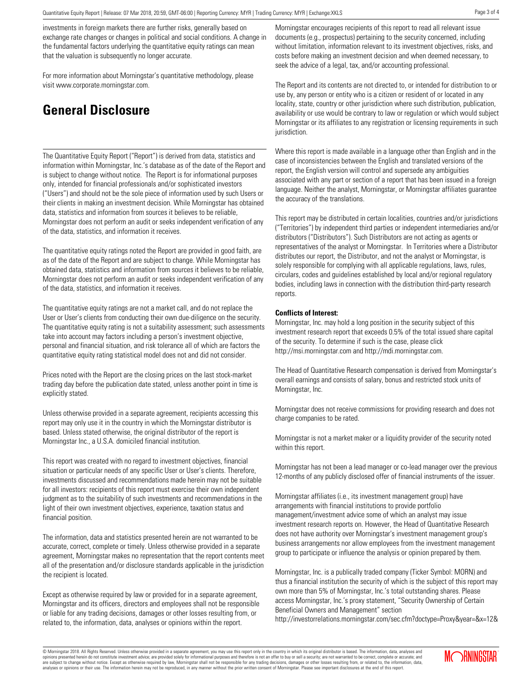investments in foreign markets there are further risks, generally based on exchange rate changes or changes in political and social conditions. A change in the fundamental factors underlying the quantitative equity ratings can mean that the valuation is subsequently no longer accurate.

For more information about Morningstar's quantitative methodology, please visit www.corporate.morningstar.com.

## **General Disclosure**

The Quantitative Equity Report ("Report") is derived from data, statistics and information within Morningstar, Inc.'s database as of the date of the Report and is subject to change without notice. The Report is for informational purposes only, intended for financial professionals and/or sophisticated investors ("Users") and should not be the sole piece of information used by such Users or their clients in making an investment decision. While Morningstar has obtained data, statistics and information from sources it believes to be reliable, Morningstar does not perform an audit or seeks independent verification of any of the data, statistics, and information it receives.

The quantitative equity ratings noted the Report are provided in good faith, are as of the date of the Report and are subject to change. While Morningstar has obtained data, statistics and information from sources it believes to be reliable, Morningstar does not perform an audit or seeks independent verification of any of the data, statistics, and information it receives.

The quantitative equity ratings are not a market call, and do not replace the User or User's clients from conducting their own due-diligence on the security. The quantitative equity rating is not a suitability assessment; such assessments take into account may factors including a person's investment objective, personal and financial situation, and risk tolerance all of which are factors the quantitative equity rating statistical model does not and did not consider.

Prices noted with the Report are the closing prices on the last stock-market trading day before the publication date stated, unless another point in time is explicitly stated.

Unless otherwise provided in a separate agreement, recipients accessing this report may only use it in the country in which the Morningstar distributor is based. Unless stated otherwise, the original distributor of the report is Morningstar Inc., a U.S.A. domiciled financial institution.

This report was created with no regard to investment objectives, financial situation or particular needs of any specific User or User's clients. Therefore, investments discussed and recommendations made herein may not be suitable for all investors: recipients of this report must exercise their own independent judgment as to the suitability of such investments and recommendations in the light of their own investment objectives, experience, taxation status and financial position.

The information, data and statistics presented herein are not warranted to be accurate, correct, complete or timely. Unless otherwise provided in a separate agreement, Morningstar makes no representation that the report contents meet all of the presentation and/or disclosure standards applicable in the jurisdiction the recipient is located.

Except as otherwise required by law or provided for in a separate agreement, Morningstar and its officers, directors and employees shall not be responsible or liable for any trading decisions, damages or other losses resulting from, or related to, the information, data, analyses or opinions within the report.

Morningstar encourages recipients of this report to read all relevant issue documents (e.g., prospectus) pertaining to the security concerned, including without limitation, information relevant to its investment objectives, risks, and costs before making an investment decision and when deemed necessary, to seek the advice of a legal, tax, and/or accounting professional.

The Report and its contents are not directed to, or intended for distribution to or use by, any person or entity who is a citizen or resident of or located in any locality, state, country or other jurisdiction where such distribution, publication, availability or use would be contrary to law or regulation or which would subject Morningstar or its affiliates to any registration or licensing requirements in such jurisdiction.

Where this report is made available in a language other than English and in the case of inconsistencies between the English and translated versions of the report, the English version will control and supersede any ambiguities associated with any part or section of a report that has been issued in a foreign language. Neither the analyst, Morningstar, or Morningstar affiliates guarantee the accuracy of the translations.

This report may be distributed in certain localities, countries and/or jurisdictions ("Territories") by independent third parties or independent intermediaries and/or distributors ("Distributors"). Such Distributors are not acting as agents or representatives of the analyst or Morningstar. In Territories where a Distributor distributes our report, the Distributor, and not the analyst or Morningstar, is solely responsible for complying with all applicable regulations, laws, rules, circulars, codes and guidelines established by local and/or regional regulatory bodies, including laws in connection with the distribution third-party research reports.

#### **Conflicts of Interest:**

Morningstar, Inc. may hold a long position in the security subject of this investment research report that exceeds 0.5% of the total issued share capital of the security. To determine if such is the case, please click http://msi.morningstar.com and http://mdi.morningstar.com.

The Head of Quantitative Research compensation is derived from Morningstar's overall earnings and consists of salary, bonus and restricted stock units of Morningstar, Inc.

Morningstar does not receive commissions for providing research and does not charge companies to be rated.

Morningstar is not a market maker or a liquidity provider of the security noted within this report.

Morningstar has not been a lead manager or co-lead manager over the previous 12-months of any publicly disclosed offer of financial instruments of the issuer.

Morningstar affiliates (i.e., its investment management group) have arrangements with financial institutions to provide portfolio management/investment advice some of which an analyst may issue investment research reports on. However, the Head of Quantitative Research does not have authority over Morningstar's investment management group's business arrangements nor allow employees from the investment management group to participate or influence the analysis or opinion prepared by them.

Morningstar, Inc. is a publically traded company (Ticker Symbol: MORN) and thus a financial institution the security of which is the subject of this report may own more than 5% of Morningstar, Inc.'s total outstanding shares. Please access Morningstar, Inc.'s proxy statement, "Security Ownership of Certain Beneficial Owners and Management" section

http://investorrelations.morningstar.com/sec.cfm?doctype=Proxy&year=&x=12&

© Morningstar 2018. All Rights Reserved. Unless otherwise provided in a separate agreement, you may use this report only in the country in which its original distributor is based. The information, data, analyses and<br>opinio are subject to change without notice. Except as otherwise required by law, Morningstar shall not be responsible for any trading decisions, damages or other losses resulting from, or related to, the information, data,<br>analy